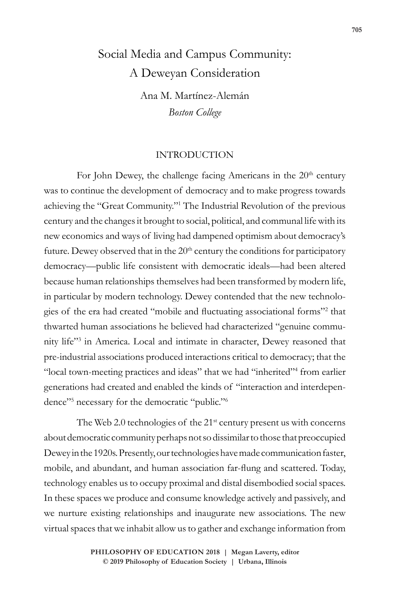# Social Media and Campus Community: A Deweyan Consideration

Ana M. Martínez-Alemán *Boston College*

## INTRODUCTION

For John Dewey, the challenge facing Americans in the  $20<sup>th</sup>$  century was to continue the development of democracy and to make progress towards achieving the "Great Community."1 The Industrial Revolution of the previous century and the changes it brought to social, political, and communal life with its new economics and ways of living had dampened optimism about democracy's future. Dewey observed that in the  $20<sup>th</sup>$  century the conditions for participatory democracy—public life consistent with democratic ideals—had been altered because human relationships themselves had been transformed by modern life, in particular by modern technology. Dewey contended that the new technologies of the era had created "mobile and fluctuating associational forms"<sup>2</sup> that thwarted human associations he believed had characterized "genuine community life"3 in America. Local and intimate in character, Dewey reasoned that pre-industrial associations produced interactions critical to democracy; that the "local town-meeting practices and ideas" that we had "inherited"<sup>4</sup> from earlier generations had created and enabled the kinds of "interaction and interdependence"<sup>5</sup> necessary for the democratic "public."<sup>6</sup>

The Web 2.0 technologies of the 21<sup>st</sup> century present us with concerns about democratic community perhaps not so dissimilar to those that preoccupied Dewey in the 1920s. Presently, our technologies have made communication faster, mobile, and abundant, and human association far-flung and scattered. Today, technology enables us to occupy proximal and distal disembodied social spaces. In these spaces we produce and consume knowledge actively and passively, and we nurture existing relationships and inaugurate new associations. The new virtual spaces that we inhabit allow us to gather and exchange information from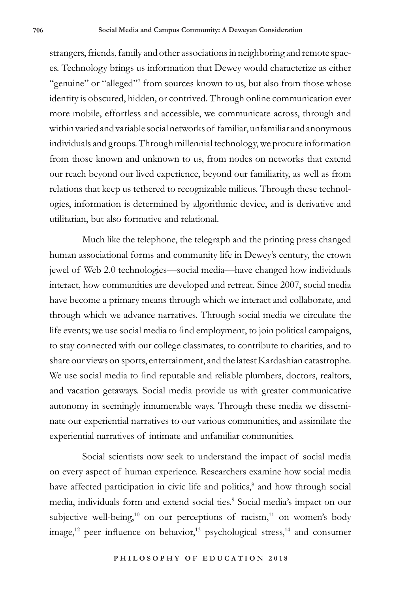strangers, friends, family and other associations in neighboring and remote spaces. Technology brings us information that Dewey would characterize as either "genuine" or "alleged"<sup>7</sup> from sources known to us, but also from those whose identity is obscured, hidden, or contrived. Through online communication ever more mobile, effortless and accessible, we communicate across, through and within varied and variable social networks of familiar, unfamiliar and anonymous individuals and groups. Through millennial technology, we procure information from those known and unknown to us, from nodes on networks that extend our reach beyond our lived experience, beyond our familiarity, as well as from relations that keep us tethered to recognizable milieus. Through these technologies, information is determined by algorithmic device, and is derivative and utilitarian, but also formative and relational.

Much like the telephone, the telegraph and the printing press changed human associational forms and community life in Dewey's century, the crown jewel of Web 2.0 technologies—social media—have changed how individuals interact, how communities are developed and retreat. Since 2007, social media have become a primary means through which we interact and collaborate, and through which we advance narratives. Through social media we circulate the life events; we use social media to find employment, to join political campaigns, to stay connected with our college classmates, to contribute to charities, and to share our views on sports, entertainment, and the latest Kardashian catastrophe. We use social media to find reputable and reliable plumbers, doctors, realtors, and vacation getaways. Social media provide us with greater communicative autonomy in seemingly innumerable ways. Through these media we disseminate our experiential narratives to our various communities, and assimilate the experiential narratives of intimate and unfamiliar communities.

Social scientists now seek to understand the impact of social media on every aspect of human experience. Researchers examine how social media have affected participation in civic life and politics,<sup>8</sup> and how through social media, individuals form and extend social ties.9 Social media's impact on our subjective well-being,<sup>10</sup> on our perceptions of racism,<sup>11</sup> on women's body image,<sup>12</sup> peer influence on behavior,<sup>13</sup> psychological stress,<sup>14</sup> and consumer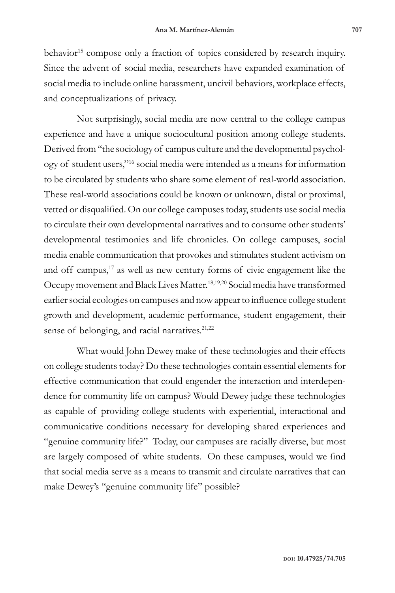behavior<sup>15</sup> compose only a fraction of topics considered by research inquiry. Since the advent of social media, researchers have expanded examination of social media to include online harassment, uncivil behaviors, workplace effects, and conceptualizations of privacy.

Not surprisingly, social media are now central to the college campus experience and have a unique sociocultural position among college students. Derived from "the sociology of campus culture and the developmental psychology of student users,"16 social media were intended as a means for information to be circulated by students who share some element of real-world association. These real-world associations could be known or unknown, distal or proximal, vetted or disqualified. On our college campuses today, students use social media to circulate their own developmental narratives and to consume other students' developmental testimonies and life chronicles. On college campuses, social media enable communication that provokes and stimulates student activism on and off campus,<sup>17</sup> as well as new century forms of civic engagement like the Occupy movement and Black Lives Matter.18,19,20 Social media have transformed earlier social ecologies on campuses and now appear to influence college student growth and development, academic performance, student engagement, their sense of belonging, and racial narratives.<sup>21,22</sup>

What would John Dewey make of these technologies and their effects on college students today? Do these technologies contain essential elements for effective communication that could engender the interaction and interdependence for community life on campus? Would Dewey judge these technologies as capable of providing college students with experiential, interactional and communicative conditions necessary for developing shared experiences and "genuine community life?" Today, our campuses are racially diverse, but most are largely composed of white students. On these campuses, would we find that social media serve as a means to transmit and circulate narratives that can make Dewey's "genuine community life" possible?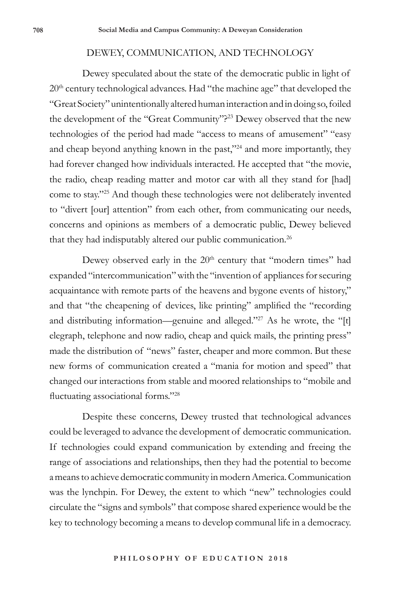#### DEWEY, COMMUNICATION, AND TECHNOLOGY

Dewey speculated about the state of the democratic public in light of 20<sup>th</sup> century technological advances. Had "the machine age" that developed the "Great Society" unintentionally altered human interaction and in doing so, foiled the development of the "Great Community"?<sup>23</sup> Dewey observed that the new technologies of the period had made "access to means of amusement" "easy and cheap beyond anything known in the past,"24 and more importantly, they had forever changed how individuals interacted. He accepted that "the movie, the radio, cheap reading matter and motor car with all they stand for [had] come to stay."25 And though these technologies were not deliberately invented to "divert [our] attention" from each other, from communicating our needs, concerns and opinions as members of a democratic public, Dewey believed that they had indisputably altered our public communication.<sup>26</sup>

Dewey observed early in the  $20<sup>th</sup>$  century that "modern times" had expanded "intercommunication" with the "invention of appliances for securing acquaintance with remote parts of the heavens and bygone events of history," and that "the cheapening of devices, like printing" amplified the "recording and distributing information—genuine and alleged."27 As he wrote, the "[t] elegraph, telephone and now radio, cheap and quick mails, the printing press" made the distribution of "news" faster, cheaper and more common. But these new forms of communication created a "mania for motion and speed" that changed our interactions from stable and moored relationships to "mobile and fluctuating associational forms."<sup>28</sup>

Despite these concerns, Dewey trusted that technological advances could be leveraged to advance the development of democratic communication. If technologies could expand communication by extending and freeing the range of associations and relationships, then they had the potential to become a means to achieve democratic community in modern America. Communication was the lynchpin. For Dewey, the extent to which "new" technologies could circulate the "signs and symbols" that compose shared experience would be the key to technology becoming a means to develop communal life in a democracy.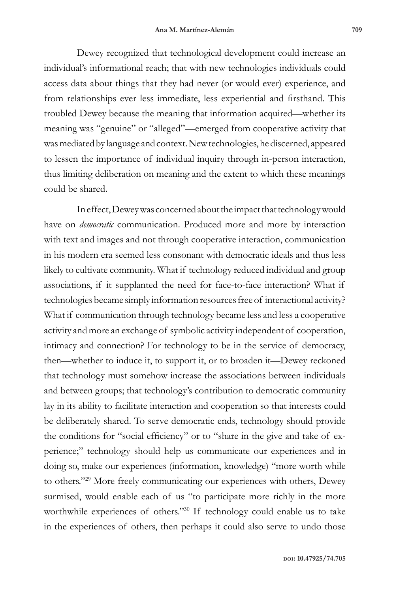Dewey recognized that technological development could increase an individual's informational reach; that with new technologies individuals could access data about things that they had never (or would ever) experience, and from relationships ever less immediate, less experiential and firsthand. This troubled Dewey because the meaning that information acquired—whether its meaning was "genuine" or "alleged"—emerged from cooperative activity that was mediated by language and context. New technologies, he discerned, appeared to lessen the importance of individual inquiry through in-person interaction, thus limiting deliberation on meaning and the extent to which these meanings could be shared.

In effect, Dewey was concerned about the impact that technology would have on *democratic* communication. Produced more and more by interaction with text and images and not through cooperative interaction, communication in his modern era seemed less consonant with democratic ideals and thus less likely to cultivate community. What if technology reduced individual and group associations, if it supplanted the need for face-to-face interaction? What if technologies became simply information resources free of interactional activity? What if communication through technology became less and less a cooperative activity and more an exchange of symbolic activity independent of cooperation, intimacy and connection? For technology to be in the service of democracy, then—whether to induce it, to support it, or to broaden it—Dewey reckoned that technology must somehow increase the associations between individuals and between groups; that technology's contribution to democratic community lay in its ability to facilitate interaction and cooperation so that interests could be deliberately shared. To serve democratic ends, technology should provide the conditions for "social efficiency" or to "share in the give and take of experience;" technology should help us communicate our experiences and in doing so, make our experiences (information, knowledge) "more worth while to others."29 More freely communicating our experiences with others, Dewey surmised, would enable each of us "to participate more richly in the more worthwhile experiences of others."<sup>30</sup> If technology could enable us to take in the experiences of others, then perhaps it could also serve to undo those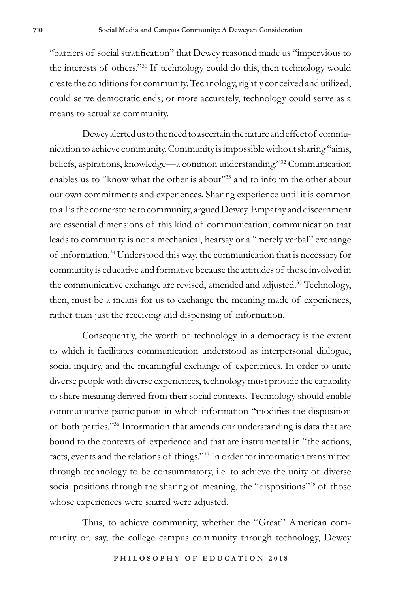"barriers of social stratification" that Dewey reasoned made us "impervious to the interests of others."31 If technology could do this, then technology would create the conditions for community. Technology, rightly conceived and utilized, could serve democratic ends; or more accurately, technology could serve as a means to actualize community.

Dewey alerted us to the need to ascertain the nature and effect of communication to achieve community. Community is impossible without sharing "aims, beliefs, aspirations, knowledge—a common understanding."32 Communication enables us to "know what the other is about"<sup>33</sup> and to inform the other about our own commitments and experiences. Sharing experience until it is common to all is the cornerstone to community, argued Dewey. Empathy and discernment are essential dimensions of this kind of communication; communication that leads to community is not a mechanical, hearsay or a "merely verbal" exchange of information.34 Understood this way, the communication that is necessary for community is educative and formative because the attitudes of those involved in the communicative exchange are revised, amended and adjusted.35 Technology, then, must be a means for us to exchange the meaning made of experiences, rather than just the receiving and dispensing of information.

Consequently, the worth of technology in a democracy is the extent to which it facilitates communication understood as interpersonal dialogue, social inquiry, and the meaningful exchange of experiences. In order to unite diverse people with diverse experiences, technology must provide the capability to share meaning derived from their social contexts. Technology should enable communicative participation in which information "modifies the disposition of both parties."36 Information that amends our understanding is data that are bound to the contexts of experience and that are instrumental in "the actions, facts, events and the relations of things."37 In order for information transmitted through technology to be consummatory, i.e. to achieve the unity of diverse social positions through the sharing of meaning, the "dispositions"<sup>38</sup> of those whose experiences were shared were adjusted.

Thus, to achieve community, whether the "Great" American community or, say, the college campus community through technology, Dewey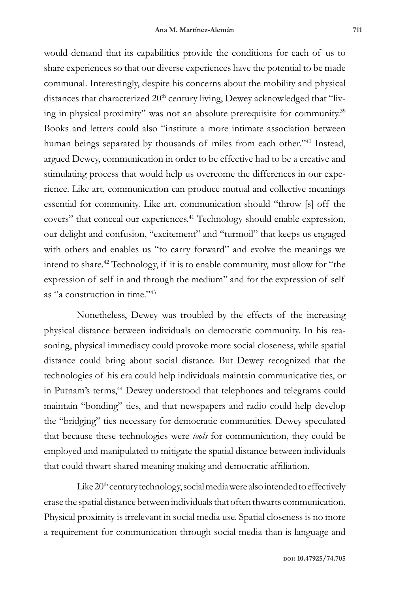would demand that its capabilities provide the conditions for each of us to share experiences so that our diverse experiences have the potential to be made communal. Interestingly, despite his concerns about the mobility and physical distances that characterized 20<sup>th</sup> century living, Dewey acknowledged that "living in physical proximity" was not an absolute prerequisite for community.39 Books and letters could also "institute a more intimate association between human beings separated by thousands of miles from each other."40 Instead, argued Dewey, communication in order to be effective had to be a creative and stimulating process that would help us overcome the differences in our experience. Like art, communication can produce mutual and collective meanings essential for community. Like art, communication should "throw [s] off the covers" that conceal our experiences.41 Technology should enable expression, our delight and confusion, "excitement" and "turmoil" that keeps us engaged with others and enables us "to carry forward" and evolve the meanings we intend to share.42 Technology, if it is to enable community, must allow for "the expression of self in and through the medium" and for the expression of self as "a construction in time."43

Nonetheless, Dewey was troubled by the effects of the increasing physical distance between individuals on democratic community. In his reasoning, physical immediacy could provoke more social closeness, while spatial distance could bring about social distance. But Dewey recognized that the technologies of his era could help individuals maintain communicative ties, or in Putnam's terms,<sup>44</sup> Dewey understood that telephones and telegrams could maintain "bonding" ties, and that newspapers and radio could help develop the "bridging" ties necessary for democratic communities. Dewey speculated that because these technologies were *tools* for communication, they could be employed and manipulated to mitigate the spatial distance between individuals that could thwart shared meaning making and democratic affiliation.

Like  $20<sup>th</sup>$  century technology, social media were also intended to effectively erase the spatial distance between individuals that often thwarts communication. Physical proximity is irrelevant in social media use. Spatial closeness is no more a requirement for communication through social media than is language and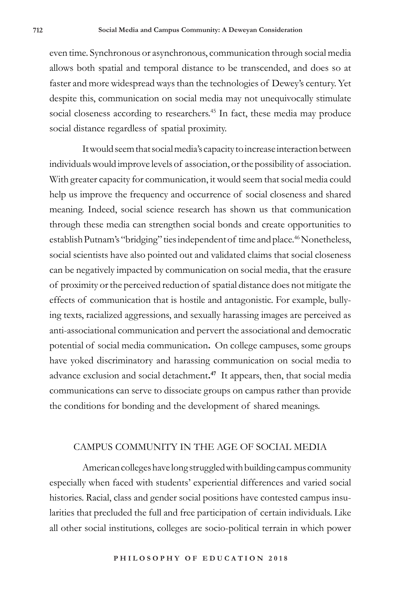even time. Synchronous or asynchronous, communication through social media allows both spatial and temporal distance to be transcended, and does so at faster and more widespread ways than the technologies of Dewey's century. Yet despite this, communication on social media may not unequivocally stimulate social closeness according to researchers.<sup>45</sup> In fact, these media may produce social distance regardless of spatial proximity.

It would seem that social media's capacity to increase interaction between individuals would improve levels of association, or the possibility of association. With greater capacity for communication, it would seem that social media could help us improve the frequency and occurrence of social closeness and shared meaning. Indeed, social science research has shown us that communication through these media can strengthen social bonds and create opportunities to establish Putnam's "bridging" ties independent of time and place.<sup>46</sup> Nonetheless, social scientists have also pointed out and validated claims that social closeness can be negatively impacted by communication on social media, that the erasure of proximity or the perceived reduction of spatial distance does not mitigate the effects of communication that is hostile and antagonistic. For example, bullying texts, racialized aggressions, and sexually harassing images are perceived as anti-associational communication and pervert the associational and democratic potential of social media communication**.** On college campuses, some groups have yoked discriminatory and harassing communication on social media to advance exclusion and social detachment**. 47** It appears, then, that social media communications can serve to dissociate groups on campus rather than provide the conditions for bonding and the development of shared meanings.

## CAMPUS COMMUNITY IN THE AGE OF SOCIAL MEDIA

American colleges have long struggled with building campus community especially when faced with students' experiential differences and varied social histories. Racial, class and gender social positions have contested campus insularities that precluded the full and free participation of certain individuals. Like all other social institutions, colleges are socio-political terrain in which power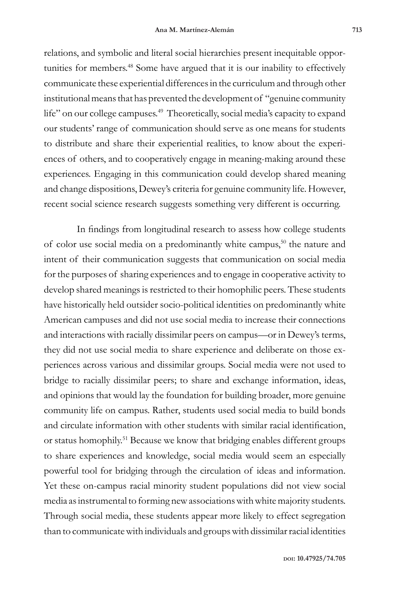relations, and symbolic and literal social hierarchies present inequitable opportunities for members.<sup>48</sup> Some have argued that it is our inability to effectively communicate these experiential differences in the curriculum and through other institutional means that has prevented the development of "genuine community life" on our college campuses.<sup>49</sup> Theoretically, social media's capacity to expand our students' range of communication should serve as one means for students to distribute and share their experiential realities, to know about the experiences of others, and to cooperatively engage in meaning-making around these experiences. Engaging in this communication could develop shared meaning and change dispositions, Dewey's criteria for genuine community life. However, recent social science research suggests something very different is occurring.

In findings from longitudinal research to assess how college students of color use social media on a predominantly white campus,<sup>50</sup> the nature and intent of their communication suggests that communication on social media for the purposes of sharing experiences and to engage in cooperative activity to develop shared meanings is restricted to their homophilic peers. These students have historically held outsider socio-political identities on predominantly white American campuses and did not use social media to increase their connections and interactions with racially dissimilar peers on campus—or in Dewey's terms, they did not use social media to share experience and deliberate on those experiences across various and dissimilar groups. Social media were not used to bridge to racially dissimilar peers; to share and exchange information, ideas, and opinions that would lay the foundation for building broader, more genuine community life on campus. Rather, students used social media to build bonds and circulate information with other students with similar racial identification, or status homophily.<sup>51</sup> Because we know that bridging enables different groups to share experiences and knowledge, social media would seem an especially powerful tool for bridging through the circulation of ideas and information. Yet these on-campus racial minority student populations did not view social media as instrumental to forming new associations with white majority students. Through social media, these students appear more likely to effect segregation than to communicate with individuals and groups with dissimilar racial identities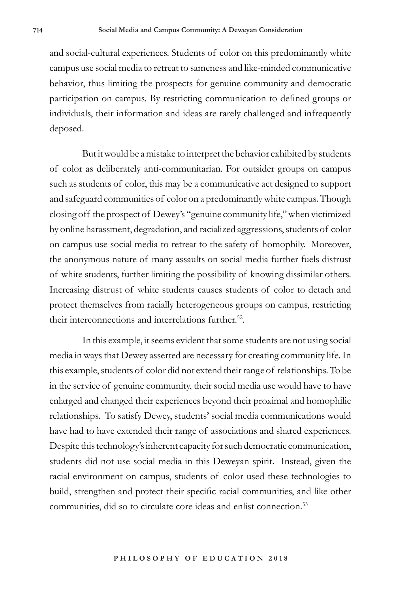and social-cultural experiences. Students of color on this predominantly white campus use social media to retreat to sameness and like-minded communicative behavior, thus limiting the prospects for genuine community and democratic participation on campus. By restricting communication to defined groups or individuals, their information and ideas are rarely challenged and infrequently deposed.

But it would be a mistake to interpret the behavior exhibited by students of color as deliberately anti-communitarian. For outsider groups on campus such as students of color, this may be a communicative act designed to support and safeguard communities of color on a predominantly white campus. Though closing off the prospect of Dewey's "genuine community life," when victimized by online harassment, degradation, and racialized aggressions, students of color on campus use social media to retreat to the safety of homophily. Moreover, the anonymous nature of many assaults on social media further fuels distrust of white students, further limiting the possibility of knowing dissimilar others. Increasing distrust of white students causes students of color to detach and protect themselves from racially heterogeneous groups on campus, restricting their interconnections and interrelations further.<sup>52</sup>.

In this example, it seems evident that some students are not using social media in ways that Dewey asserted are necessary for creating community life. In this example, students of color did not extend their range of relationships. To be in the service of genuine community, their social media use would have to have enlarged and changed their experiences beyond their proximal and homophilic relationships. To satisfy Dewey, students' social media communications would have had to have extended their range of associations and shared experiences. Despite this technology's inherent capacity for such democratic communication, students did not use social media in this Deweyan spirit. Instead, given the racial environment on campus, students of color used these technologies to build, strengthen and protect their specific racial communities, and like other communities, did so to circulate core ideas and enlist connection.<sup>53</sup>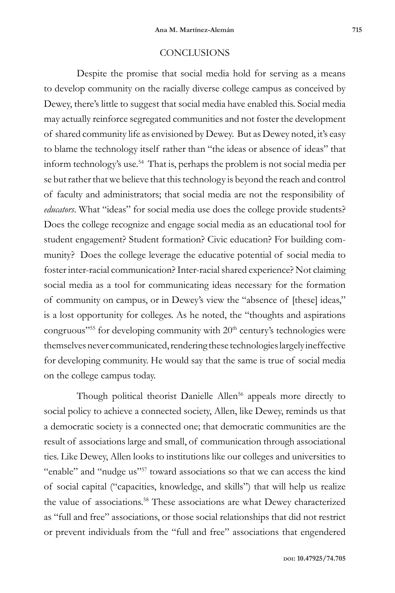### **CONCLUSIONS**

Despite the promise that social media hold for serving as a means to develop community on the racially diverse college campus as conceived by Dewey, there's little to suggest that social media have enabled this. Social media may actually reinforce segregated communities and not foster the development of shared community life as envisioned by Dewey. But as Dewey noted, it's easy to blame the technology itself rather than "the ideas or absence of ideas" that inform technology's use.<sup>54</sup> That is, perhaps the problem is not social media per se but rather that we believe that this technology is beyond the reach and control of faculty and administrators; that social media are not the responsibility of *educators*. What "ideas" for social media use does the college provide students? Does the college recognize and engage social media as an educational tool for student engagement? Student formation? Civic education? For building community? Does the college leverage the educative potential of social media to foster inter-racial communication? Inter-racial shared experience? Not claiming social media as a tool for communicating ideas necessary for the formation of community on campus, or in Dewey's view the "absence of [these] ideas," is a lost opportunity for colleges. As he noted, the "thoughts and aspirations congruous"<sup>55</sup> for developing community with 20<sup>th</sup> century's technologies were themselves never communicated, rendering these technologies largely ineffective for developing community. He would say that the same is true of social media on the college campus today.

Though political theorist Danielle Allen<sup>56</sup> appeals more directly to social policy to achieve a connected society, Allen, like Dewey, reminds us that a democratic society is a connected one; that democratic communities are the result of associations large and small, of communication through associational ties. Like Dewey, Allen looks to institutions like our colleges and universities to "enable" and "nudge us"<sup>57</sup> toward associations so that we can access the kind of social capital ("capacities, knowledge, and skills") that will help us realize the value of associations.<sup>58</sup> These associations are what Dewey characterized as "full and free" associations, or those social relationships that did not restrict or prevent individuals from the "full and free" associations that engendered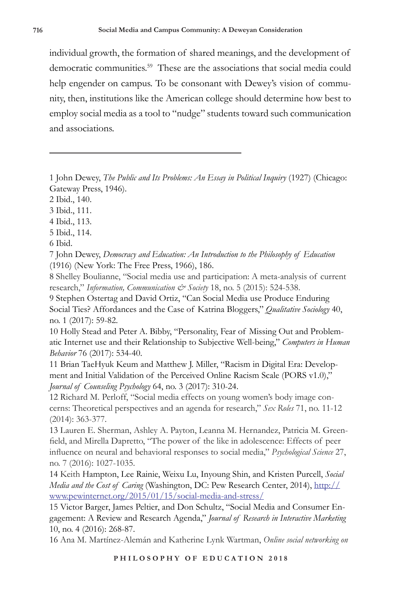individual growth, the formation of shared meanings, and the development of democratic communities.59 These are the associations that social media could help engender on campus. To be consonant with Dewey's vision of community, then, institutions like the American college should determine how best to employ social media as a tool to "nudge" students toward such communication and associations.

1 John Dewey, *The Public and Its Problems: An Essay in Political Inquiry* (1927) (Chicago: Gateway Press, 1946).

2 Ibid., 140.

3 Ibid., 111.

4 Ibid., 113.

5 Ibid., 114.

6 Ibid.

7 John Dewey, *Democracy and Education: An Introduction to the Philosophy of Education* (1916) (New York: The Free Press, 1966), 186.

8 Shelley Boulianne, "Social media use and participation: A meta-analysis of current research," Information, Communication & Society 18, no. 5 (2015): 524-538.

9 Stephen Ostertag and David Ortiz, "Can Social Media use Produce Enduring Social Ties? Affordances and the Case of Katrina Bloggers," *Qualitative Sociology* 40, no. 1 (2017): 59-82.

10 Holly Stead and Peter A. Bibby, "Personality, Fear of Missing Out and Problematic Internet use and their Relationship to Subjective Well-being," *Computers in Human Behavior* 76 (2017): 534-40.

11 Brian TaeHyuk Keum and Matthew J. Miller, "Racism in Digital Era: Development and Initial Validation of the Perceived Online Racism Scale (PORS v1.0)," *Journal of Counseling Psychology* 64, no. 3 (2017): 310-24.

12 Richard M. Perloff, "Social media effects on young women's body image concerns: Theoretical perspectives and an agenda for research," *Sex Roles* 71, no. 11-12 (2014): 363-377.

13 Lauren E. Sherman, Ashley A. Payton, Leanna M. Hernandez, Patricia M. Greenfield, and Mirella Dapretto, "The power of the like in adolescence: Effects of peer influence on neural and behavioral responses to social media," *Psychological Science* 27, no. 7 (2016): 1027-1035.

14 Keith Hampton, Lee Rainie, Weixu Lu, Inyoung Shin, and Kristen Purcell, *Social Media and the Cost of Caring* (Washington, DC: Pew Research Center, 2014), http:// www.pewinternet.org/2015/01/15/social-media-and-stress/

15 Victor Barger, James Peltier, and Don Schultz, "Social Media and Consumer Engagement: A Review and Research Agenda," *Journal of Research in Interactive Marketing*  10, no. 4 (2016): 268-87.

16 Ana M. Martínez-Alemán and Katherine Lynk Wartman, *Online social networking on*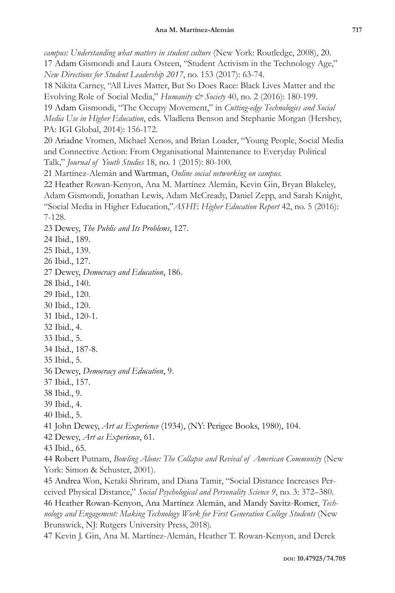*campus: Understanding what matters in student culture* (New York: Routledge, 2008), 20. 17 Adam Gismondi and Laura Osteen, "Student Activism in the Technology Age," *New Directions for Student Leadership 2017*, no. 153 (2017): 63-74.

18 Nikita Carney, "All Lives Matter, But So Does Race: Black Lives Matter and the Evolving Role of Social Media," *Humanity & Society* 40, no. 2 (2016): 180-199.

19 Adam Gismondi, "The Occupy Movement," in *Cutting-edge Technologies and Social Media Use in Higher Education*, eds. Vladlena Benson and Stephanie Morgan (Hershey, PA: IGI Global, 2014): 156-172.

20 Ariadne Vromen, Michael Xenos, and Brian Loader, "Young People, Social Media and Connective Action: From Organisational Maintenance to Everyday Political Talk," *Journal of Youth Studies* 18, no. 1 (2015): 80-100.

21 Martínez-Alemán and Wartman, *Online social networking on campus.*

22 Heather Rowan-Kenyon, Ana M. Martínez Alemán, Kevin Gin, Bryan Blakeley, Adam Gismondi, Jonathan Lewis, Adam McCready, Daniel Zepp, and Sarah Knight, "Social Media in Higher Education,"*ASHE Higher Education Report* 42, no. 5 (2016): 7-128.

23 Dewey, *The Public and Its Problems*, 127.

24 Ibid., 189.

25 Ibid., 139.

26 Ibid., 127.

27 Dewey, *Democracy and Education*, 186.

28 Ibid., 140.

29 Ibid., 120.

30 Ibid., 120.

31 Ibid., 120-1.

32 Ibid., 4.

33 Ibid., 5.

34 Ibid., 187-8.

35 Ibid., 5.

36 Dewey, *Democracy and Education*, 9.

37 Ibid., 157.

38 Ibid., 9.

39 Ibid., 4.

40 Ibid., 5.

41 John Dewey, *Art as Experience* (1934), (NY: Perigee Books, 1980), 104.

42 Dewey, *Art as Experience*, 61.

43 Ibid., 65.

44 Robert Putnam, *Bowling Alone: The Collapse and Revival of American Community* (New York: Simon & Schuster, 2001).

45 Andrea Won, Ketaki Shriram, and Diana Tamir, "Social Distance Increases Perceived Physical Distance," *Social Psychological and Personality Science 9*, no. 3: 372–380. 46 Heather Rowan-Kenyon, Ana Martínez Alemán, and Mandy Savitz-Romer, *Technology and Engagement: Making Technology Work for First Generation College Students* (New Brunswick, NJ: Rutgers University Press, 2018)*.*

47 Kevin J. Gin, Ana M. Martínez-Alemán, Heather T. Rowan-Kenyon, and Derek